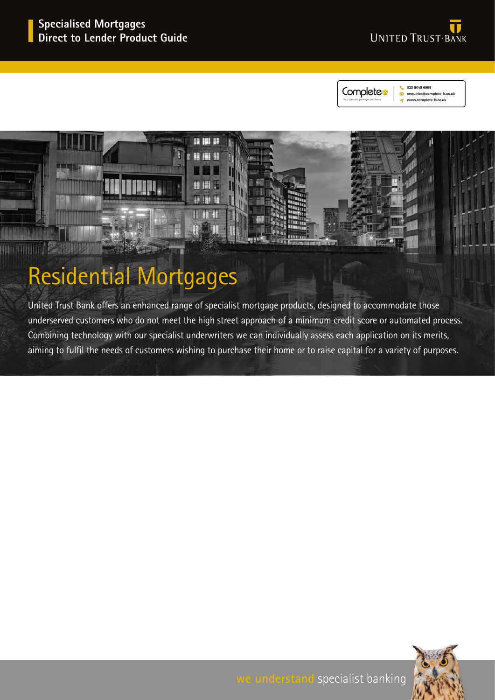



023 8045 6999 enquiries@complete-fs.co **MANUCOMPlete-fr.co.uk** 



# Residential Mortgages

United Trust Bank offers an enhanced range of specialist mortgage products, designed to accommodate those underserved customers who do not meet the high street approach of a minimum credit score or automated process. Combining technology with our specialist underwriters we can individually assess each application on its merits, aiming to fulfil the needs of customers wishing to purchase their home or to raise capital for a variety of purposes.

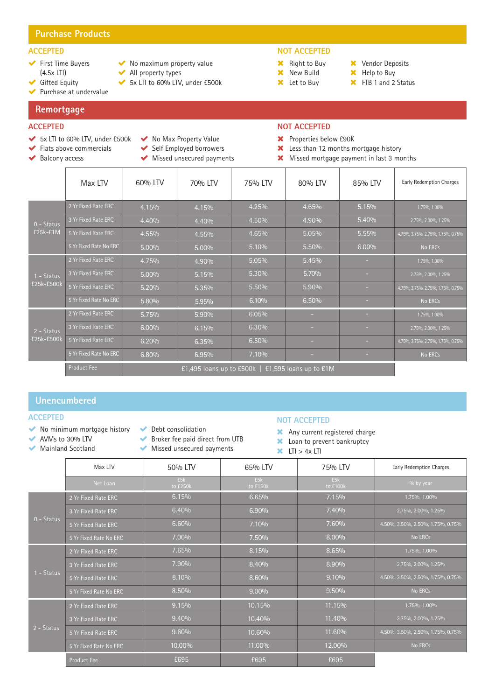# **Purchase Products**

# **ACCEPTED**

- ◆ First Time Buyers (4.5x LTI)
- ◆ Gifted Equity

Purchase at undervalue

**Remortgage**

# **ACCEPTED**

- 5x LTI to 60% LTV, under £500k
- 
- 
- ◆ No maximum property value
- ◆ All property types
	-
	-
	-
	-
	-
	-
	-
- 5x LTI to 60% LTV, under £500k

# **NOT ACCEPTED**

- **X** Right to Buy
- **X** New Build **X** Let to Buy
- **X** Vendor Deposits **X** Help to Buy
- **X** FTB 1 and 2 Status
- 

- 
- ◆ Flats above commercials
- ◆ Balcony access
- No Max Property Value
- Self Employed borrowers
- Missed unsecured payments

## **NOT ACCEPTED**

- Properties below £90K
- **X** Less than 12 months mortgage history
- Missed mortgage payment in last 3 months

|                          | Max LTV                | 60% LTV                                            | 70% LTV | 75% LTV | 80% LTV | 85% LTV | <b>Early Redemption Charges</b>   |
|--------------------------|------------------------|----------------------------------------------------|---------|---------|---------|---------|-----------------------------------|
|                          | 2 Yr Fixed Rate ERC    | 4.15%                                              | 4.15%   | 4.25%   | 4.65%   | 5.15%   | 1.75%, 1.00%                      |
| $0 - Status$             | 3 Yr Fixed Rate ERC    | 4.40%                                              | 4.40%   | 4.50%   | 4.90%   | 5.40%   | 2.75%, 2.00%, 1.25%               |
| £25k-£1M                 | 5 Yr Fixed Rate ERC    | 4.55%                                              | 4.55%   | 4.65%   | 5.05%   | 5.55%   | 4.75%, 3.75%, 2.75%, 1.75%, 0.75% |
|                          | 5 Yr Fixed Rate No ERC | 5.00%                                              | 5.00%   | 5.10%   | 5.50%   | 6.00%   | No ERCs                           |
|                          | 2 Yr Fixed Rate ERC    | 4.75%                                              | 4.90%   | 5.05%   | 5.45%   |         | 1.75%, 1.00%                      |
| 1 - Status               | 3 Yr Fixed Rate ERC    | 5.00%                                              | 5.15%   | 5.30%   | 5.70%   |         | 2.75%, 2.00%, 1.25%               |
| £25k-£500k               | 5 Yr Fixed Rate ERC    | 5.20%                                              | 5.35%   | 5.50%   | 5.90%   | н.      | 4.75%, 3.75%, 2.75%, 1.75%, 0.75% |
|                          | 5 Yr Fixed Rate No ERC | 5.80%                                              | 5.95%   | 6.10%   | 6.50%   | ÷       | No ERCs                           |
| 2 - Status<br>£25k-£500k | 2 Yr Fixed Rate ERC    | 5.75%                                              | 5.90%   | 6.05%   | н       | ۰       | 1.75%, 1.00%                      |
|                          | 3 Yr Fixed Rate ERC    | 6.00%                                              | 6.15%   | 6.30%   | -       |         | 2.75%, 2.00%, 1.25%               |
|                          | 5 Yr Fixed Rate ERC    | 6.20%                                              | 6.35%   | 6.50%   |         |         | 4.75%, 3.75%, 2.75%, 1.75%, 0.75% |
|                          | 5 Yr Fixed Rate No ERC | 6.80%                                              | 6.95%   | 7.10%   | ۰       |         | No ERCs                           |
|                          | <b>Product Fee</b>     | £1,495 loans up to £500k<br>£1,595 loans up to £1M |         |         |         |         |                                   |

# **Unencumbered**

#### **ACCEPTED**

- No minimum mortgage history
- AVMs to 30% LTV Mainland Scotland
- ◆ Debt consolidation
- Broker fee paid direct from UTB
	- Missed unsecured payments

#### **NOT ACCEPTED**

- Any current registered charge
- **X** Loan to prevent bankruptcy
- $\overline{\mathsf{x}}$  LTI > 4x LTI

|            | Max LTV                | 50% LTV         | 65% LTV         | 75% LTV         | <b>Early Redemption Charges</b>   |
|------------|------------------------|-----------------|-----------------|-----------------|-----------------------------------|
|            | Net Loan               | E5k<br>to £250k | £5k<br>to £150k | £5k<br>to £100k | % by year                         |
|            | 2 Yr Fixed Rate ERC    | 6.15%           | 6.65%           | 7.15%           | 1.75%, 1.00%                      |
|            | 3 Yr Fixed Rate ERC    | 6.40%           | 6.90%           | 7.40%           | 2.75%, 2.00%, 1.25%               |
| 0 - Status | 5 Yr Fixed Rate ERC    | 6.60%           | 7.10%           | 7.60%           | 4.50%, 3.50%, 2.50%, 1.75%, 0.75% |
|            | 5 Yr Fixed Rate No ERC | 7.00%           | 7.50%           | 8.00%           | No ERCs                           |
|            | 2 Yr Fixed Rate ERC    | 7.65%           | 8.15%           | 8.65%           | 1.75%, 1.00%                      |
|            | 3 Yr Fixed Rate ERC    | 7.90%           | 8.40%           | 8.90%           | 2.75%, 2.00%, 1.25%               |
| 1 - Status | 5 Yr Fixed Rate ERC    | 8.10%           | 8.60%           | 9.10%           | 4.50%, 3.50%, 2.50%, 1.75%, 0.75% |
|            | 5 Yr Fixed Rate No ERC | 8.50%           | $9.00\%$        | 9.50%           | No ERCs                           |
| 2 - Status | 2 Yr Fixed Rate ERC    | 9.15%           | 10.15%          | 11.15%          | 1.75%, 1.00%                      |
|            | 3 Yr Fixed Rate ERC    | 9.40%           | 10.40%          | 11.40%          | 2.75%, 2.00%, 1.25%               |
|            | 5 Yr Fixed Rate ERC    | 9.60%           | 10.60%          | 11.60%          | 4.50%, 3.50%, 2.50%, 1.75%, 0.75% |
|            | 5 Yr Fixed Rate No ERC | 10.00%          | 11.00%          | 12.00%          | No ERCs                           |
|            | <b>Product Fee</b>     | £695            | £695            | £695            |                                   |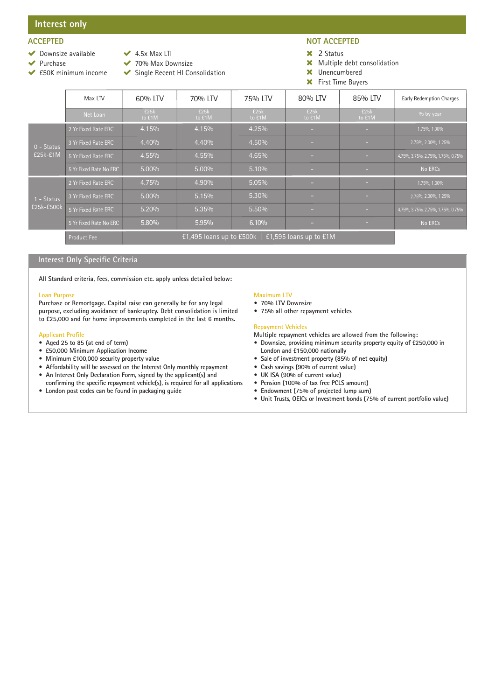# **Interest only**

# **ACCEPTED**

- ◆ Downsize available
- $\blacktriangleright$  Purchase
- $\blacktriangleright$  4.5x Max LTI ◆ 70% Max Downsize
- £50K minimum income
- - Single Recent HI Consolidation

# **NOT ACCEPTED**

- 2 Status
- Multiple debt consolidation
- Unencumbered
- First Time Buyers

|                            | Max LTV                | 60% LTV                                                       | 70% LTV        | 75% LTV        | 80% LTV        | 85% LTV        | <b>Early Redemption Charges</b>   |
|----------------------------|------------------------|---------------------------------------------------------------|----------------|----------------|----------------|----------------|-----------------------------------|
|                            | Net Loan               | £25k<br>to £1M                                                | £25k<br>to £1M | £25k<br>to £1M | £25k<br>to £1M | £25k<br>to £1M | $\frac{0}{0}$ by year             |
| $0 - Status$<br>$E25k-E1M$ | 2 Yr Fixed Rate ERC    | 4.15%                                                         | 4.15%          | 4.25%          | -              | ÷              | 1.75%, 1.00%                      |
|                            | 3 Yr Fixed Rate ERC    | 4.40%                                                         | 4.40%          | 4.50%          | -              |                | 2.75%, 2.00%, 1.25%               |
|                            | 5 Yr Fixed Rate ERC    | 4.55%                                                         | 4.55%          | 4.65%          | -              |                | 4.75%, 3.75%, 2.75%, 1.75%, 0.75% |
|                            | 5 Yr Fixed Rate No ERC | $5.00\%$                                                      | $5.00\%$       | 5.10%          |                | н.             | No ERCs                           |
| 1 - Status<br>£25k-£500k   | 2 Yr Fixed Rate ERC    | 4.75%                                                         | 4.90%          | 5.05%          | a.             | н.             | 1.75%, 1.00%                      |
|                            | 3 Yr Fixed Rate ERC    | $5.00\%$                                                      | 5.15%          | 5.30%          |                | ×.             | 2.75%, 2.00%, 1.25%               |
|                            | 5 Yr Fixed Rate ERC    | 5.20%                                                         | 5.35%          | 5.50%          |                | н.             | 4.75%, 3.75%, 2.75%, 1.75%, 0.75% |
|                            | 5 Yr Fixed Rate No ERC | 5.80%                                                         | 5.95%          | 6.10%          | -              | н.             | No ERCs                           |
|                            | <b>Product Fee</b>     | $E1,495$ loans up to £500k  <br>$\pm 1,595$ loans up to $E1M$ |                |                |                |                |                                   |

### **Interest Only Specific Criteria**

**All Standard criteria, fees, commission etc. apply unless detailed below:**

#### **Loan Purpose**

**Purchase or Remortgage. Capital raise can generally be for any legal purpose, excluding avoidance of bankruptcy. Debt consolidation is limited to £25,000 and for home improvements completed in the last 6 months.** 

#### **Applicant Profile**

- **• Aged 25 to 85 (at end of term)**
- **• £50,000 Minimum Application Income**
- **• Minimum £100,000 security property value**
- **• Affordability will be assessed on the Interest Only monthly repayment**
- **• An Interest Only Declaration Form, signed by the applicant(s) and**
- **confirming the specific repayment vehicle(s), is required for all applications • London post codes can be found in packaging guide**

#### **Maximum LTV**

- **• 70% LTV Downsize**
- **• 75% all other repayment vehicles**

#### **Repayment Vehicles**

**Multiple repayment vehicles are allowed from the following:**

- **• Downsize, providing minimum security property equity of £250,000 in London and £150,000 nationally**
- **• Sale of investment property (85% of net equity)**
- **• Cash savings (90% of current value)**
- **• UK ISA (90% of current value)**
- **• Pension (100% of tax free PCLS amount)**
- **• Endowment (75% of projected lump sum)**
- **• Unit Trusts, OEICs or Investment bonds (75% of current portfolio value)**